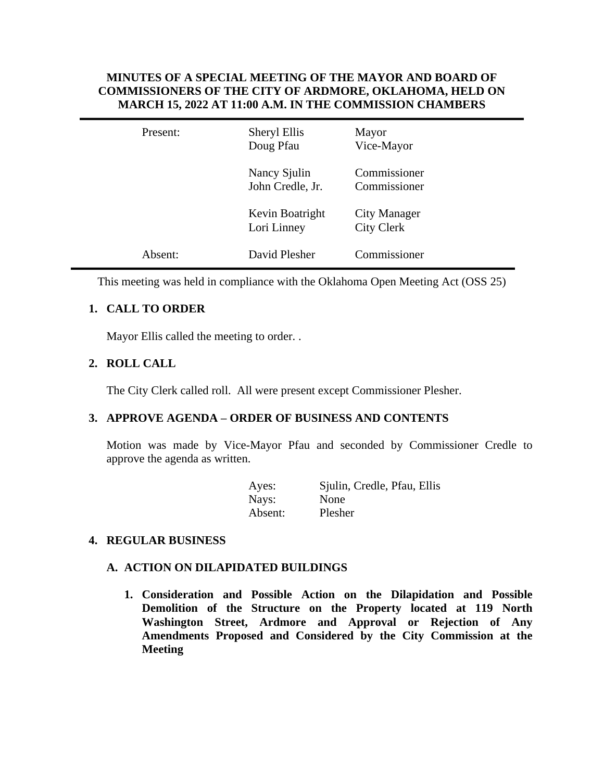# **MINUTES OF A SPECIAL MEETING OF THE MAYOR AND BOARD OF COMMISSIONERS OF THE CITY OF ARDMORE, OKLAHOMA, HELD ON MARCH 15, 2022 AT 11:00 A.M. IN THE COMMISSION CHAMBERS**

| Present: | Sheryl Ellis<br>Doug Pfau        | Mayor<br>Vice-Mayor                      |
|----------|----------------------------------|------------------------------------------|
|          | Nancy Sjulin<br>John Credle, Jr. | Commissioner<br>Commissioner             |
|          | Kevin Boatright<br>Lori Linney   | <b>City Manager</b><br><b>City Clerk</b> |
| Absent:  | David Plesher                    | Commissioner                             |

This meeting was held in compliance with the Oklahoma Open Meeting Act (OSS 25)

# **1. CALL TO ORDER**

Mayor Ellis called the meeting to order. .

# **2. ROLL CALL**

The City Clerk called roll. All were present except Commissioner Plesher.

## **3. APPROVE AGENDA – ORDER OF BUSINESS AND CONTENTS**

Motion was made by Vice-Mayor Pfau and seconded by Commissioner Credle to approve the agenda as written.

| Ayes:   | Sjulin, Credle, Pfau, Ellis |
|---------|-----------------------------|
| Nays:   | <b>None</b>                 |
| Absent: | Plesher                     |

### **4. REGULAR BUSINESS**

### **A. ACTION ON DILAPIDATED BUILDINGS**

**1. Consideration and Possible Action on the Dilapidation and Possible Demolition of the Structure on the Property located at 119 North Washington Street, Ardmore and Approval or Rejection of Any Amendments Proposed and Considered by the City Commission at the Meeting**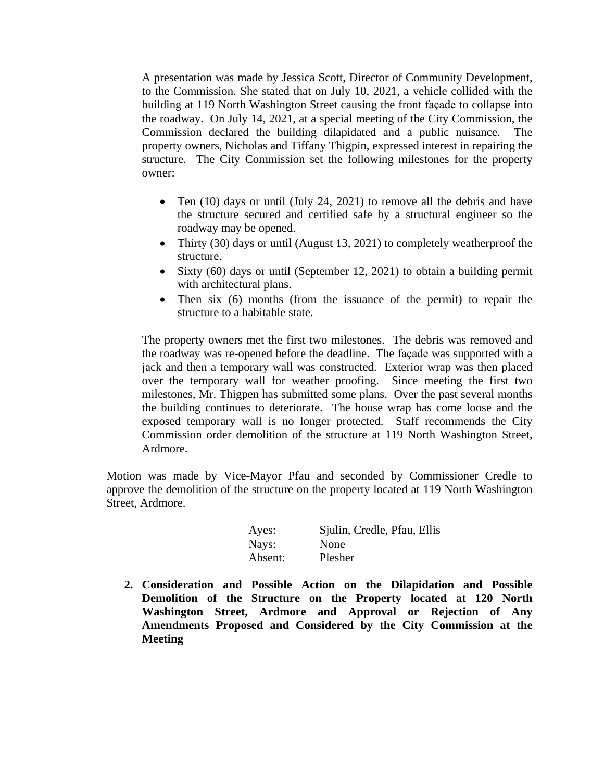A presentation was made by Jessica Scott, Director of Community Development, to the Commission. She stated that on July 10, 2021, a vehicle collided with the building at 119 North Washington Street causing the front façade to collapse into the roadway. On July 14, 2021, at a special meeting of the City Commission, the Commission declared the building dilapidated and a public nuisance. The property owners, Nicholas and Tiffany Thigpin, expressed interest in repairing the structure. The City Commission set the following milestones for the property owner:

- Ten (10) days or until (July 24, 2021) to remove all the debris and have the structure secured and certified safe by a structural engineer so the roadway may be opened.
- Thirty (30) days or until (August 13, 2021) to completely weatherproof the structure.
- Sixty (60) days or until (September 12, 2021) to obtain a building permit with architectural plans.
- Then six (6) months (from the issuance of the permit) to repair the structure to a habitable state.

The property owners met the first two milestones. The debris was removed and the roadway was re-opened before the deadline. The façade was supported with a jack and then a temporary wall was constructed. Exterior wrap was then placed over the temporary wall for weather proofing. Since meeting the first two milestones, Mr. Thigpen has submitted some plans. Over the past several months the building continues to deteriorate. The house wrap has come loose and the exposed temporary wall is no longer protected. Staff recommends the City Commission order demolition of the structure at 119 North Washington Street, Ardmore.

Motion was made by Vice-Mayor Pfau and seconded by Commissioner Credle to approve the demolition of the structure on the property located at 119 North Washington Street, Ardmore.

| Ayes:   | Sjulin, Credle, Pfau, Ellis |
|---------|-----------------------------|
| Nays:   | None                        |
| Absent: | Plesher                     |

**2. Consideration and Possible Action on the Dilapidation and Possible Demolition of the Structure on the Property located at 120 North Washington Street, Ardmore and Approval or Rejection of Any Amendments Proposed and Considered by the City Commission at the Meeting**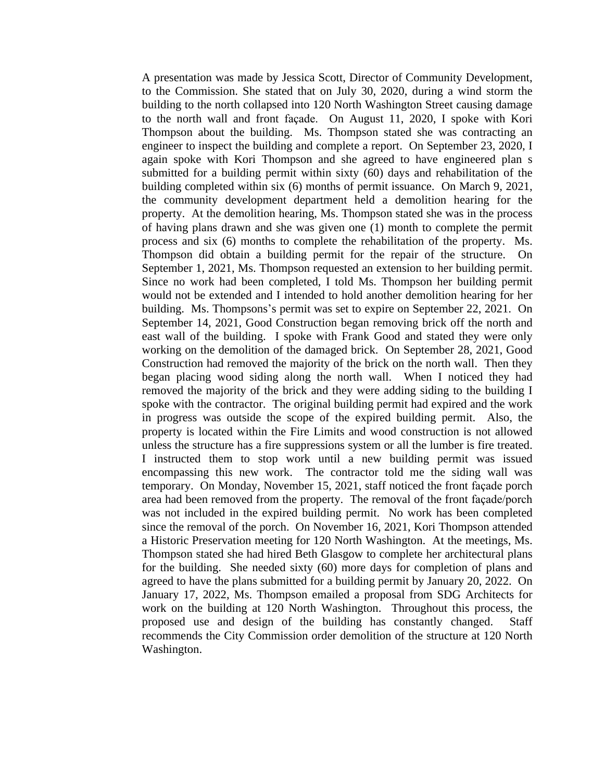A presentation was made by Jessica Scott, Director of Community Development, to the Commission. She stated that on July 30, 2020, during a wind storm the building to the north collapsed into 120 North Washington Street causing damage to the north wall and front façade. On August 11, 2020, I spoke with Kori Thompson about the building. Ms. Thompson stated she was contracting an engineer to inspect the building and complete a report. On September 23, 2020, I again spoke with Kori Thompson and she agreed to have engineered plan s submitted for a building permit within sixty (60) days and rehabilitation of the building completed within six (6) months of permit issuance. On March 9, 2021, the community development department held a demolition hearing for the property. At the demolition hearing, Ms. Thompson stated she was in the process of having plans drawn and she was given one (1) month to complete the permit process and six (6) months to complete the rehabilitation of the property. Ms. Thompson did obtain a building permit for the repair of the structure. On September 1, 2021, Ms. Thompson requested an extension to her building permit. Since no work had been completed, I told Ms. Thompson her building permit would not be extended and I intended to hold another demolition hearing for her building. Ms. Thompsons's permit was set to expire on September 22, 2021. On September 14, 2021, Good Construction began removing brick off the north and east wall of the building. I spoke with Frank Good and stated they were only working on the demolition of the damaged brick. On September 28, 2021, Good Construction had removed the majority of the brick on the north wall. Then they began placing wood siding along the north wall. When I noticed they had removed the majority of the brick and they were adding siding to the building I spoke with the contractor. The original building permit had expired and the work in progress was outside the scope of the expired building permit. Also, the property is located within the Fire Limits and wood construction is not allowed unless the structure has a fire suppressions system or all the lumber is fire treated. I instructed them to stop work until a new building permit was issued encompassing this new work. The contractor told me the siding wall was temporary. On Monday, November 15, 2021, staff noticed the front façade porch area had been removed from the property. The removal of the front façade/porch was not included in the expired building permit. No work has been completed since the removal of the porch. On November 16, 2021, Kori Thompson attended a Historic Preservation meeting for 120 North Washington. At the meetings, Ms. Thompson stated she had hired Beth Glasgow to complete her architectural plans for the building. She needed sixty (60) more days for completion of plans and agreed to have the plans submitted for a building permit by January 20, 2022. On January 17, 2022, Ms. Thompson emailed a proposal from SDG Architects for work on the building at 120 North Washington. Throughout this process, the proposed use and design of the building has constantly changed. Staff recommends the City Commission order demolition of the structure at 120 North Washington.